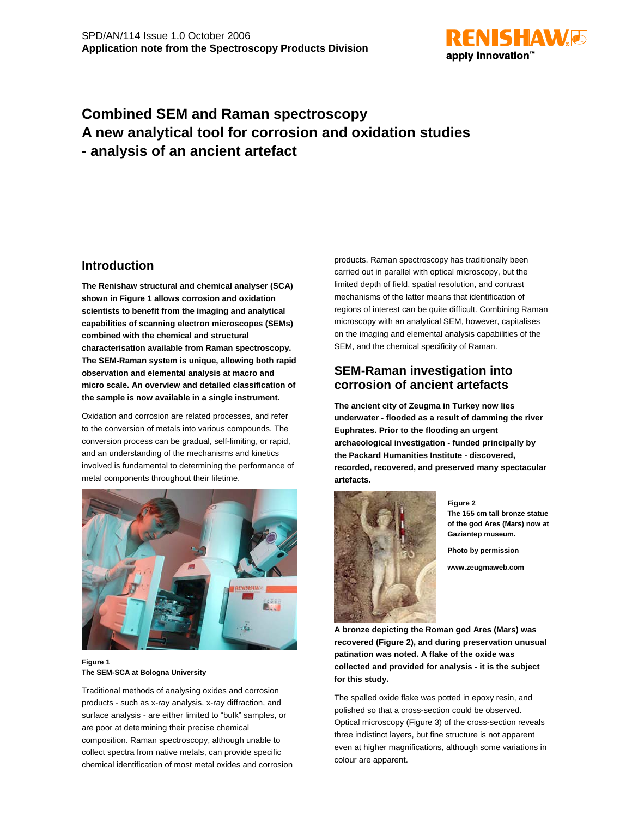

# **Combined SEM and Raman spectroscopy A new analytical tool for corrosion and oxidation studies - analysis of an ancient artefact**

## **Introduction**

**The Renishaw structural and chemical analyser (SCA) shown in Figure 1 allows corrosion and oxidation scientists to benefit from the imaging and analytical capabilities of scanning electron microscopes (SEMs) combined with the chemical and structural characterisation available from Raman spectroscopy. The SEM-Raman system is unique, allowing both rapid observation and elemental analysis at macro and micro scale. An overview and detailed classification of the sample is now available in a single instrument.**

Oxidation and corrosion are related processes, and refer to the conversion of metals into various compounds. The conversion process can be gradual, self-limiting, or rapid, and an understanding of the mechanisms and kinetics involved is fundamental to determining the performance of metal components throughout their lifetime.



### **Figure 1 The SEM-SCA at Bologna University**

Traditional methods of analysing oxides and corrosion products - such as x-ray analysis, x-ray diffraction, and surface analysis - are either limited to "bulk" samples, or are poor at determining their precise chemical composition. Raman spectroscopy, although unable to collect spectra from native metals, can provide specific chemical identification of most metal oxides and corrosion

products. Raman spectroscopy has traditionally been carried out in parallel with optical microscopy, but the limited depth of field, spatial resolution, and contrast mechanisms of the latter means that identification of regions of interest can be quite difficult. Combining Raman microscopy with an analytical SEM, however, capitalises on the imaging and elemental analysis capabilities of the SEM, and the chemical specificity of Raman.

# **SEM-Raman investigation into corrosion of ancient artefacts**

**The ancient city of Zeugma in Turkey now lies underwater - flooded as a result of damming the river Euphrates. Prior to the flooding an urgent archaeological investigation - funded principally by the Packard Humanities Institute - discovered, recorded, recovered, and preserved many spectacular artefacts.**



**Figure 2 The 155 cm tall bronze statue of the god Ares (Mars) now at Gaziantep museum.**

**Photo by permission**

**www.zeugmaweb.com**

**A bronze depicting the Roman god Ares (Mars) was recovered (Figure 2), and during preservation unusual patination was noted. A flake of the oxide was collected and provided for analysis - it is the subject for this study.**

The spalled oxide flake was potted in epoxy resin, and polished so that a cross-section could be observed. Optical microscopy (Figure 3) of the cross-section reveals three indistinct layers, but fine structure is not apparent even at higher magnifications, although some variations in colour are apparent.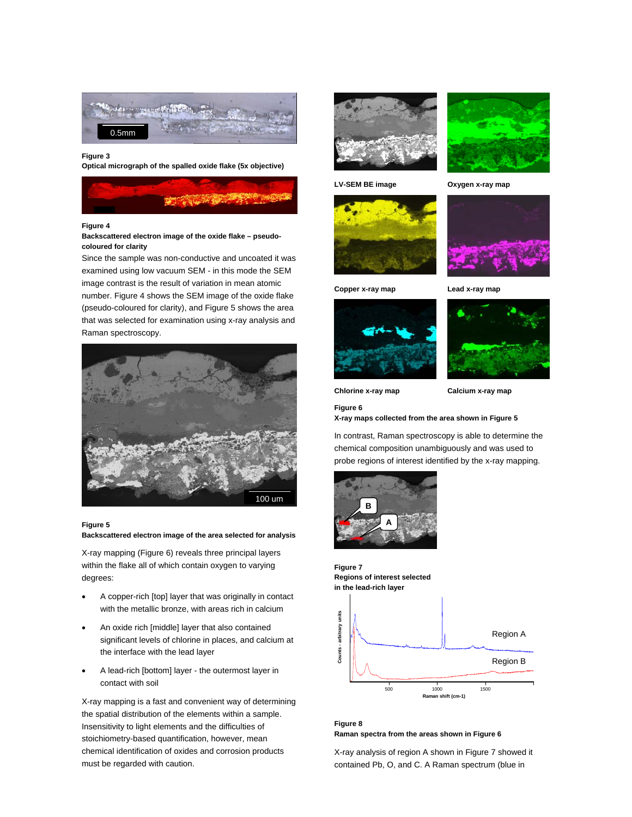

#### **Figure 3**

**Optical micrograph of the spalled oxide flake (5x objective)**



### **Figure 4**

#### **Backscattered electron image of the oxide flake – pseudocoloured for clarity**

Since the sample was non-conductive and uncoated it was examined using low vacuum SEM - in this mode the SEM image contrast is the result of variation in mean atomic number. Figure 4 shows the SEM image of the oxide flake (pseudo-coloured for clarity), and Figure 5 shows the area that was selected for examination using x-ray analysis and Raman spectroscopy.



#### **Figure 5**

**Backscattered electron image of the area selected for analysis**

X-ray mapping (Figure 6) reveals three principal layers within the flake all of which contain oxygen to varying degrees:

- A copper-rich [top] layer that was originally in contact with the metallic bronze, with areas rich in calcium
- An oxide rich [middle] layer that also contained significant levels of chlorine in places, and calcium at the interface with the lead layer
- A lead-rich [bottom] layer the outermost layer in contact with soil

X-ray mapping is a fast and convenient way of determining the spatial distribution of the elements within a sample. Insensitivity to light elements and the difficulties of stoichiometry-based quantification, however, mean chemical identification of oxides and corrosion products must be regarded with caution.





LV-SEM BE image **Oxygen x-ray map** 







**Copper x-ray map Lead x-ray map**





**Chlorine x-ray map Calcium x-ray map**

**Figure 6**

**X-ray maps collected from the area shown in Figure 5**

In contrast, Raman spectroscopy is able to determine the chemical composition unambiguously and was used to probe regions of interest identified by the x-ray mapping.





**Figure 8 Raman spectra from the areas shown in Figure 6**

X-ray analysis of region A shown in Figure 7 showed it contained Pb, O, and C. A Raman spectrum (blue in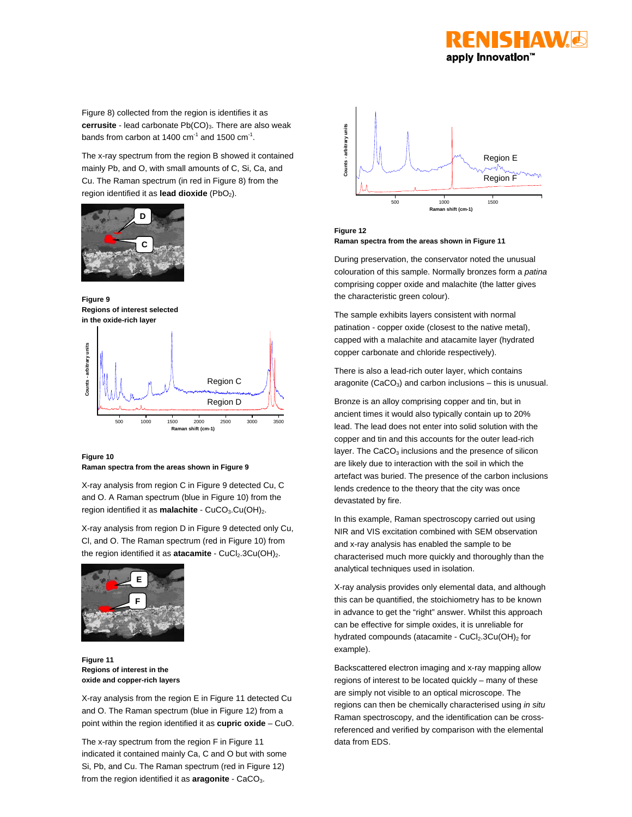

Figure 8) collected from the region is identifies it as **cerrusite** - lead carbonate Pb(CO)<sub>3</sub>. There are also weak bands from carbon at 1400  $cm^{-1}$  and 1500  $cm^{-1}$ .

The x-ray spectrum from the region B showed it contained mainly Pb, and O, with small amounts of C, Si, Ca, and Cu. The Raman spectrum (in red in Figure 8) from the region identified it as **lead dioxide** (PbO<sub>2</sub>).



**Figure 9 Regions of interest selected in the oxide-rich layer**





X-ray analysis from region C in Figure 9 detected Cu, C and O. A Raman spectrum (blue in Figure 10) from the region identified it as **malachite** - CuCO<sub>3</sub>.Cu(OH)<sub>2</sub>.

X-ray analysis from region D in Figure 9 detected only Cu, Cl, and O. The Raman spectrum (red in Figure 10) from the region identified it as **atacamite** - CuCl<sub>2</sub>.3Cu(OH)<sub>2</sub>.



**Figure 11 Regions of interest in the oxide and copper-rich layers**

X-ray analysis from the region E in Figure 11 detected Cu and O. The Raman spectrum (blue in Figure 12) from a point within the region identified it as **cupric oxide** – CuO.

The x-ray spectrum from the region F in Figure 11 indicated it contained mainly Ca, C and O but with some Si, Pb, and Cu. The Raman spectrum (red in Figure 12) from the region identified it as **aragonite** - CaCO<sub>3</sub>.



**Figure 12 Raman spectra from the areas shown in Figure 11**

During preservation, the conservator noted the unusual colouration of this sample. Normally bronzes form a *patina* comprising copper oxide and malachite (the latter gives the characteristic green colour).

The sample exhibits layers consistent with normal patination - copper oxide (closest to the native metal), capped with a malachite and atacamite layer (hydrated copper carbonate and chloride respectively).

There is also a lead-rich outer layer, which contains aragonite (CaCO<sub>3</sub>) and carbon inclusions  $-$  this is unusual.

Bronze is an alloy comprising copper and tin, but in ancient times it would also typically contain up to 20% lead. The lead does not enter into solid solution with the copper and tin and this accounts for the outer lead-rich layer. The  $CaCO<sub>3</sub>$  inclusions and the presence of silicon are likely due to interaction with the soil in which the artefact was buried. The presence of the carbon inclusions lends credence to the theory that the city was once devastated by fire.

In this example, Raman spectroscopy carried out using NIR and VIS excitation combined with SEM observation and x-ray analysis has enabled the sample to be characterised much more quickly and thoroughly than the analytical techniques used in isolation.

X-ray analysis provides only elemental data, and although this can be quantified, the stoichiometry has to be known in advance to get the "right" answer. Whilst this approach can be effective for simple oxides, it is unreliable for hydrated compounds (atacamite -  $CuCl<sub>2</sub>.3Cu(OH)<sub>2</sub>$  for example).

Backscattered electron imaging and x-ray mapping allow regions of interest to be located quickly – many of these are simply not visible to an optical microscope. The regions can then be chemically characterised using *in situ* Raman spectroscopy, and the identification can be crossreferenced and verified by comparison with the elemental data from EDS.